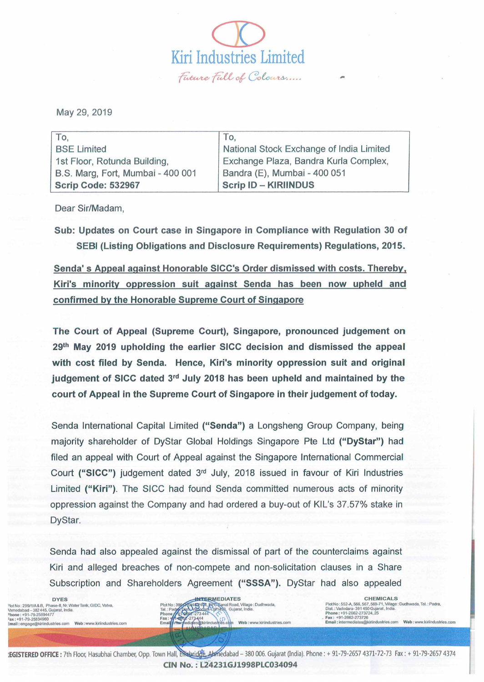May 29, 2019

| To,                               | To,                                      |
|-----------------------------------|------------------------------------------|
| <b>BSE Limited</b>                | National Stock Exchange of India Limited |
| 1st Floor, Rotunda Building,      | Exchange Plaza, Bandra Kurla Complex,    |
| B.S. Marg, Fort, Mumbai - 400 001 | Bandra (E), Mumbai - 400 051             |
| <b>Scrip Code: 532967</b>         | <b>Scrip ID - KIRIINDUS</b>              |

 $\overline{\mathcal{D}}$ 

Kiri Industries Limited ~ {i:ft ~ (J~ *UY .....* 

Dear Sir/Madam,

Sub: Updates on Court case in Singapore in Compliance with Regulation 30 of SEBI (Listing Obligations and Disclosure Requirements) Regulations, 2015.

Senda' s Appeal against Honorable SICC's Order dismissed with costs. Thereby. Kiri's minority oppression suit against Senda has been now upheld and confirmed by the Honorable Supreme Court of Singapore

The Court of Appeal (Supreme Court), Singapore, pronounced judgement on 29<sup>th</sup> May 2019 upholding the earlier SICC decision and dismissed the appeal with cost filed by Senda. Hence, Kiri's minority oppression suit and original judgement of SICC dated 3rd July 2018 has been upheld and maintained by the court of Appeal in the Supreme Court of Singapore in their judgement of today.

Senda International Capital Limited ("Senda") a Longsheng Group Company, being majority shareholder of DyStar Global Holdings Singapore Pte Ltd ("DyStar") had filed an appeal with Court of Appeal against the Singapore International Commercial Court ("SICC") judgement dated 3<sup>rd</sup> July, 2018 issued in favour of Kiri Industries Limited ("Kiri"). The SICC had found Senda committed numerous acts of minority oppression against the Company and had ordered a buy-out of KIL's 37.57% stake in DyStar.

Senda had also appealed against the dismissal of part of the counterclaims against Kiri and alleged breaches of non-compete and non-solicitation clauses in a Share Subscription and Shareholders Agreement ("SSSA"). DyStar had also appealed

Plot No : 299/1/A& B. Phase-II, Nr. Water Tank, GIDC, Vatva, \hmedabad - 382 445, Gujarat, India.<br>Phone : +91-79-25894477 =ax: +91 -79-25834960 : mall : engage@kiriindustries.com Web: www.kiriindustries.com



. Fax : +91-2662-273726 Email: Intermediates@klrilndustries,com Web: www.kiriinduslries.com